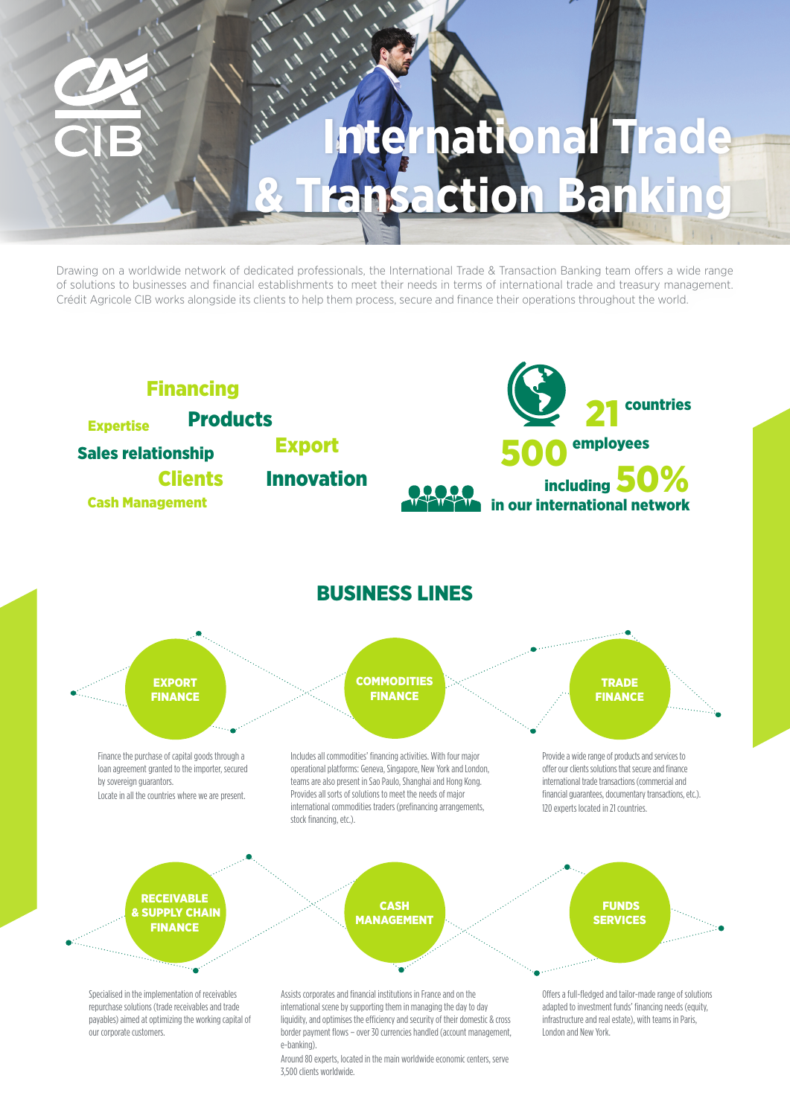# **International Trade & Transaction Banking**

Drawing on a worldwide network of dedicated professionals, the International Trade & Transaction Banking team offers a wide range of solutions to businesses and financial establishments to meet their needs in terms of international trade and treasury management. Crédit Agricole CIB works alongside its clients to help them process, secure and finance their operations throughout the world.



Around 80 experts, located in the main worldwide economic centers, serve 3,500 clients worldwide.